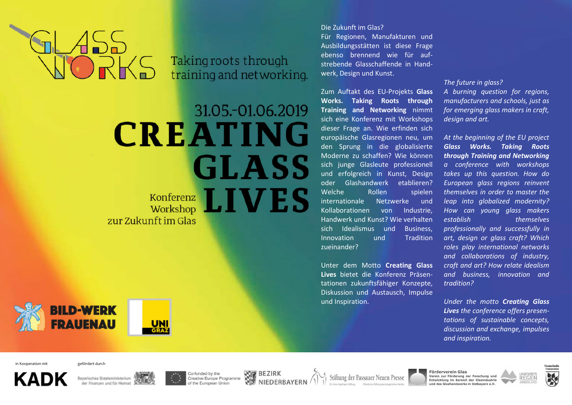Taking roots through training and networking.

# 31.05.-01.06.2019 **CREATING GLASS** Konferenz LIVES zur Zukunft im Glas

**BILD-WERK FRAUENAU** 

Die Zukunft im Glas? Für Regionen, Manufakturen und Ausbildungsstätten ist diese Frage ebenso brennend wie für aufstrebende Glasschaffende in Handwerk, Design und Kunst.

Zum Auftakt des EU-Projekts **Glass Works. Taking Roots through Training and Networking** nimmt sich eine Konferenz mit Workshops dieser Frage an. Wie erfinden sich europäische Glasregionen neu, um den Sprung in die globalisierte Moderne zu schaffen? Wie können sich junge Glasleute professionell und erfolgreich in Kunst, Design oder Glashandwerk etablieren? Welche Rollen spielen internationale Netzwerke und Kollaborationen von Industrie, Handwerk und Kunst? Wie verhalten sich Idealismus und Business, Innovation und Tradition zueinander?

Unter dem Motto **Creating Glass Lives** bietet die Konferenz Präsentationen zukunftsfähiger Konzepte, Diskussion und Austausch, Impulse und Inspiration.

*The future in glass?* 

*A burning question for regions, manufacturers and schools, just as for emerging glass makers in craft, design and art.* 

*At the beginning of the EU project Glass Works. Taking Roots through Training and Networking a conference with workshops takes up this question. How do European glass regions reinvent themselves in order to master the leap into globalized modernity? How can young glass makers establish themselves professionally and successfully in art, design or glass craft? Which roles play international networks and collaborations of industry, craft and art? How relate idealism and business, innovation and tradition?* 

*Under the motto Creating Glass Lives the conference offers presentations of sustainable concepts, discussion and exchange, impulses and inspiration.* 

in Kooperation mit gefördert durch







Co-funded by the Creative Europe Programme of the European Union



Stiftung der Passauer Neuen Presse

Förderverein Glas<br>Verein zur Förderung der Forschung und<br>Entwicklung im Bereich der Glasindustrie und des Glashandwerks in Ostbayern e.V.